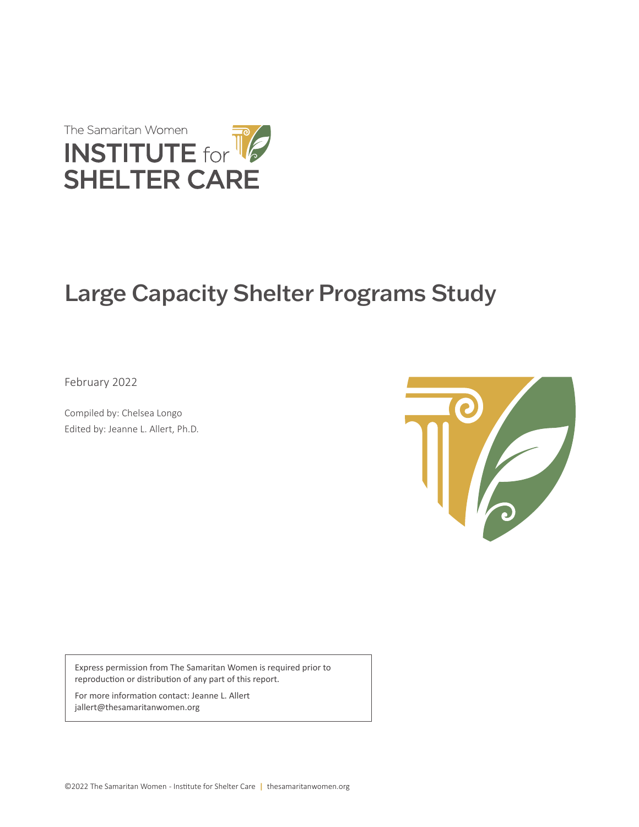

# Large Capacity Shelter Programs Study

February 2022

Compiled by: Chelsea Longo Edited by: Jeanne L. Allert, Ph.D.



Express permission from The Samaritan Women is required prior to reproduction or distribution of any part of this report.

For more information contact: Jeanne L. Allert jallert@thesamaritanwomen.org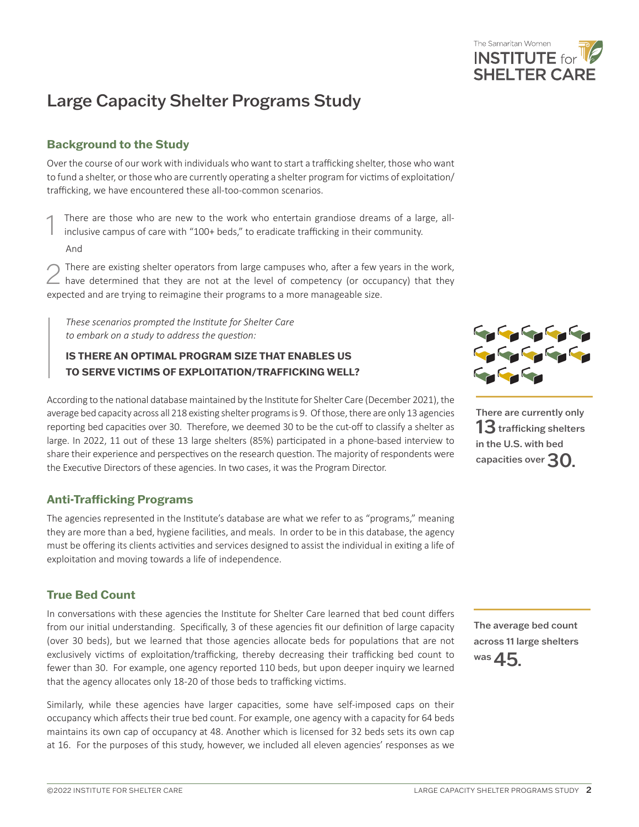across 11 large shelters was **45**.

The average bed count

## Large Capacity Shelter Programs Study

#### **Background to the Study**

Over the course of our work with individuals who want to start a trafficking shelter, those who want to fund a shelter, or those who are currently operating a shelter program for victims of exploitation/ trafficking, we have encountered these all-too-common scenarios.

There are those who are new to the work who entertain grandiose dreams of a large, allinclusive campus of care with "100+ beds," to eradicate trafficking in their community. And

2There are existing shelter operators from large campuses who, after a few years in the work, have determined that they are not at the level of competency (or occupancy) that they expected and are trying to reimagine their programs to a more manageable size.

*These scenarios prompted the Institute for Shelter Care to embark on a study to address the question:* 

#### **IS THERE AN OPTIMAL PROGRAM SIZE THAT ENABLES US TO SERVE VICTIMS OF EXPLOITATION/TRAFFICKING WELL?**

According to the national database maintained by the Institute for Shelter Care (December 2021), the average bed capacity across all 218 existing shelter programs is 9. Of those, there are only 13 agencies reporting bed capacities over 30. Therefore, we deemed 30 to be the cut-off to classify a shelter as large. In 2022, 11 out of these 13 large shelters (85%) participated in a phone-based interview to share their experience and perspectives on the research question. The majority of respondents were the Executive Directors of these agencies. In two cases, it was the Program Director.

#### **Anti-Trafficking Programs**

The agencies represented in the Institute's database are what we refer to as "programs," meaning they are more than a bed, hygiene facilities, and meals. In order to be in this database, the agency must be offering its clients activities and services designed to assist the individual in exiting a life of exploitation and moving towards a life of independence.

#### **True Bed Count**

In conversations with these agencies the Institute for Shelter Care learned that bed count differs from our initial understanding. Specifically, 3 of these agencies fit our definition of large capacity (over 30 beds), but we learned that those agencies allocate beds for populations that are not exclusively victims of exploitation/trafficking, thereby decreasing their trafficking bed count to fewer than 30. For example, one agency reported 110 beds, but upon deeper inquiry we learned that the agency allocates only 18-20 of those beds to trafficking victims.

Similarly, while these agencies have larger capacities, some have self-imposed caps on their occupancy which affects their true bed count. For example, one agency with a capacity for 64 beds maintains its own cap of occupancy at 48. Another which is licensed for 32 beds sets its own cap at 16. For the purposes of this study, however, we included all eleven agencies' responses as we



There are currently only  $13$  trafficking shelters in the U.S. with bed capacities over  $30$ .

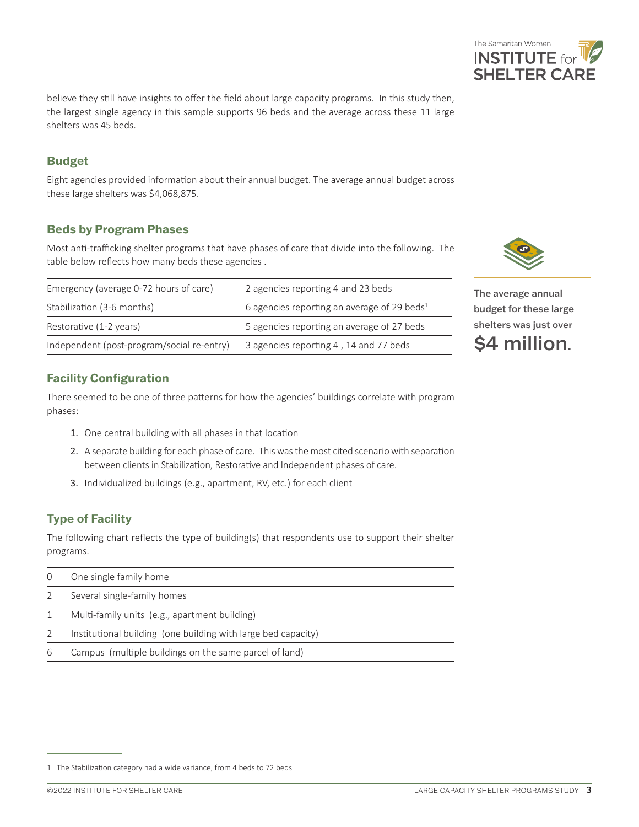believe they still have insights to offer the field about large capacity programs. In this study then, the largest single agency in this sample supports 96 beds and the average across these 11 large shelters was 45 beds.

#### **Budget**

Eight agencies provided information about their annual budget. The average annual budget across these large shelters was \$4,068,875.

#### **Beds by Program Phases**

Most anti-trafficking shelter programs that have phases of care that divide into the following. The table below reflects how many beds these agencies .

| Emergency (average 0-72 hours of care)     | 2 agencies reporting 4 and 23 beds                      |
|--------------------------------------------|---------------------------------------------------------|
| Stabilization (3-6 months)                 | 6 agencies reporting an average of 29 beds <sup>1</sup> |
| Restorative (1-2 years)                    | 5 agencies reporting an average of 27 beds              |
| Independent (post-program/social re-entry) | 3 agencies reporting 4, 14 and 77 beds                  |

## The average annual budget for these large shelters was just over

\$4 million.

#### **Facility Configuration**

There seemed to be one of three patterns for how the agencies' buildings correlate with program phases:

- 1. One central building with all phases in that location
- 2. A separate building for each phase of care. This was the most cited scenario with separation between clients in Stabilization, Restorative and Independent phases of care.
- 3. Individualized buildings (e.g., apartment, RV, etc.) for each client

#### **Type of Facility**

The following chart reflects the type of building(s) that respondents use to support their shelter programs.

| $\Omega$      | One single family home                                        |
|---------------|---------------------------------------------------------------|
|               | Several single-family homes                                   |
|               | Multi-family units (e.g., apartment building)                 |
| $\mathcal{L}$ | Institutional building (one building with large bed capacity) |
| 6             | Campus (multiple buildings on the same parcel of land)        |



<sup>1</sup> The Stabilization category had a wide variance, from 4 beds to 72 beds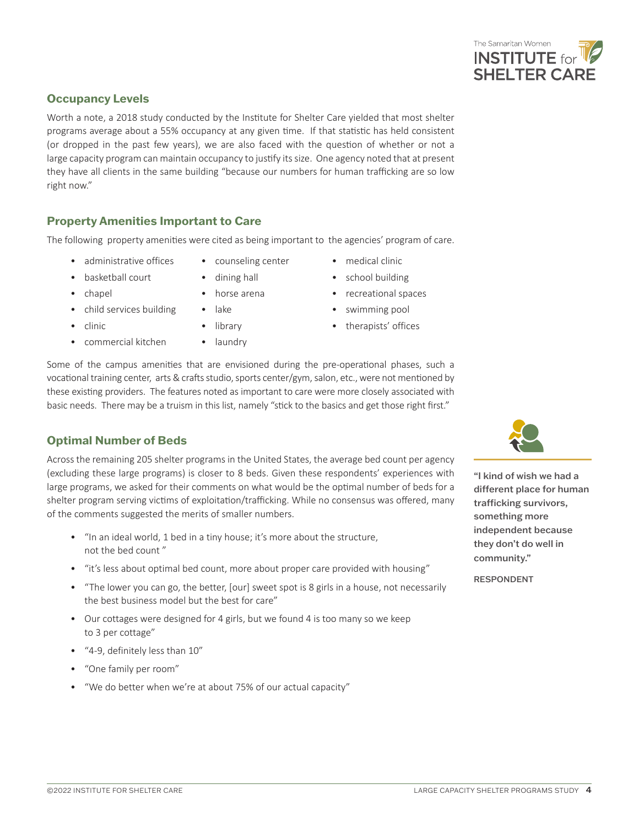### **Occupancy Levels**

Worth a note, a 2018 study conducted by the Institute for Shelter Care yielded that most shelter programs average about a 55% occupancy at any given time. If that statistic has held consistent (or dropped in the past few years), we are also faced with the question of whether or not a large capacity program can maintain occupancy to justify its size. One agency noted that at present they have all clients in the same building "because our numbers for human trafficking are so low right now."

#### **Property Amenities Important to Care**

The following property amenities were cited as being important to the agencies' program of care.

• counseling center

- administrative offices
- basketball court
- chapel
- child services building
- clinic
- commercial kitchen
- dining hall • horse arena
- lake
- library
- laundry
- medical clinic
- school building
- recreational spaces
- swimming pool
- therapists' offices

Some of the campus amenities that are envisioned during the pre-operational phases, such a vocational training center, arts & crafts studio, sports center/gym, salon, etc., were not mentioned by these existing providers. The features noted as important to care were more closely associated with basic needs. There may be a truism in this list, namely "stick to the basics and get those right first."

#### **Optimal Number of Beds**

Across the remaining 205 shelter programs in the United States, the average bed count per agency (excluding these large programs) is closer to 8 beds. Given these respondents' experiences with large programs, we asked for their comments on what would be the optimal number of beds for a shelter program serving victims of exploitation/trafficking. While no consensus was offered, many of the comments suggested the merits of smaller numbers.

- "In an ideal world, 1 bed in a tiny house; it's more about the structure, not the bed count "
- "it's less about optimal bed count, more about proper care provided with housing"
- "The lower you can go, the better, [our] sweet spot is 8 girls in a house, not necessarily the best business model but the best for care"
- Our cottages were designed for 4 girls, but we found 4 is too many so we keep to 3 per cottage"
- "4-9, definitely less than 10"
- "One family per room"
- "We do better when we're at about 75% of our actual capacity"



"I kind of wish we had a different place for human trafficking survivors, something more independent because they don't do well in community."

RESPONDENT

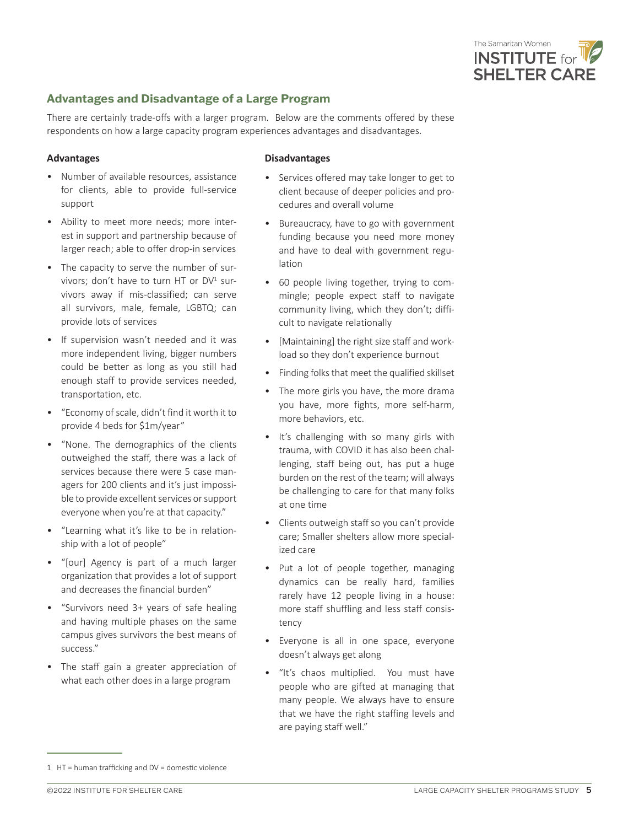

#### **Advantages and Disadvantage of a Large Program**

There are certainly trade-offs with a larger program. Below are the comments offered by these respondents on how a large capacity program experiences advantages and disadvantages.

#### **Advantages**

#### **Disadvantages**

- Number of available resources, assistance for clients, able to provide full-service support
- Ability to meet more needs; more interest in support and partnership because of larger reach; able to offer drop-in services
- The capacity to serve the number of survivors; don't have to turn HT or DV<sup>1</sup> survivors away if mis-classified; can serve all survivors, male, female, LGBTQ; can provide lots of services
- If supervision wasn't needed and it was more independent living, bigger numbers could be better as long as you still had enough staff to provide services needed, transportation, etc.
- "Economy of scale, didn't find it worth it to provide 4 beds for \$1m/year"
- "None. The demographics of the clients outweighed the staff, there was a lack of services because there were 5 case managers for 200 clients and it's just impossible to provide excellent services or support everyone when you're at that capacity."
- "Learning what it's like to be in relationship with a lot of people"
- "[our] Agency is part of a much larger organization that provides a lot of support and decreases the financial burden"
- "Survivors need 3+ years of safe healing and having multiple phases on the same campus gives survivors the best means of success."
- The staff gain a greater appreciation of what each other does in a large program
- Services offered may take longer to get to client because of deeper policies and procedures and overall volume
- Bureaucracy, have to go with government funding because you need more money and have to deal with government regulation
- 60 people living together, trying to commingle; people expect staff to navigate community living, which they don't; difficult to navigate relationally
- [Maintaining] the right size staff and workload so they don't experience burnout
- Finding folks that meet the qualified skillset
- The more girls you have, the more drama you have, more fights, more self-harm, more behaviors, etc.
- It's challenging with so many girls with trauma, with COVID it has also been challenging, staff being out, has put a huge burden on the rest of the team; will always be challenging to care for that many folks at one time
- Clients outweigh staff so you can't provide care; Smaller shelters allow more specialized care
- Put a lot of people together, managing dynamics can be really hard, families rarely have 12 people living in a house: more staff shuffling and less staff consistency
- Everyone is all in one space, everyone doesn't always get along
- "It's chaos multiplied. You must have people who are gifted at managing that many people. We always have to ensure that we have the right staffing levels and are paying staff well."

<sup>1</sup> HT = human trafficking and DV = domestic violence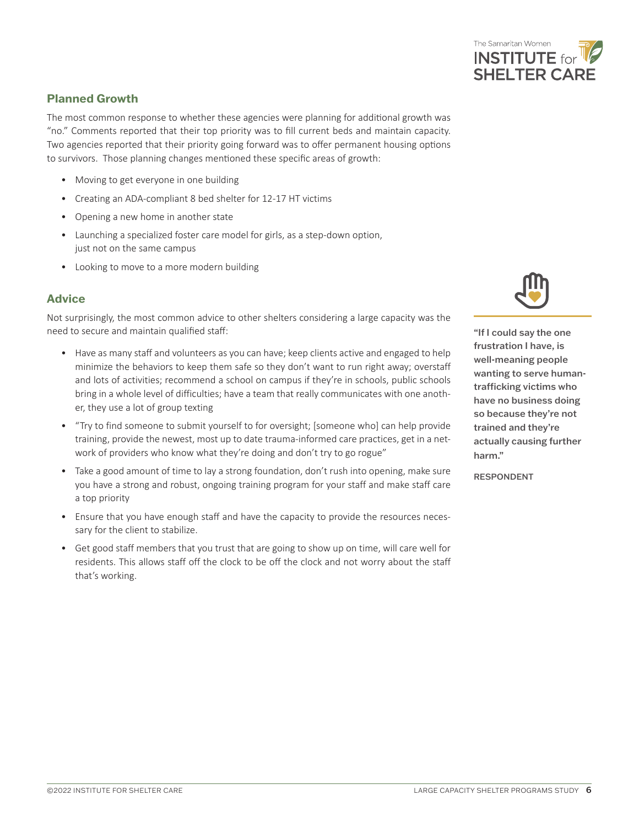

#### **Planned Growth**

The most common response to whether these agencies were planning for additional growth was "no." Comments reported that their top priority was to fill current beds and maintain capacity. Two agencies reported that their priority going forward was to offer permanent housing options to survivors. Those planning changes mentioned these specific areas of growth:

- Moving to get everyone in one building
- Creating an ADA-compliant 8 bed shelter for 12-17 HT victims
- Opening a new home in another state
- Launching a specialized foster care model for girls, as a step-down option, just not on the same campus
- Looking to move to a more modern building

#### **Advice**

Not surprisingly, the most common advice to other shelters considering a large capacity was the need to secure and maintain qualified staff:

- Have as many staff and volunteers as you can have; keep clients active and engaged to help minimize the behaviors to keep them safe so they don't want to run right away; overstaff and lots of activities; recommend a school on campus if they're in schools, public schools bring in a whole level of difficulties; have a team that really communicates with one another, they use a lot of group texting
- "Try to find someone to submit yourself to for oversight; [someone who] can help provide training, provide the newest, most up to date trauma-informed care practices, get in a network of providers who know what they're doing and don't try to go rogue"
- Take a good amount of time to lay a strong foundation, don't rush into opening, make sure you have a strong and robust, ongoing training program for your staff and make staff care a top priority
- Ensure that you have enough staff and have the capacity to provide the resources necessary for the client to stabilize.
- Get good staff members that you trust that are going to show up on time, will care well for residents. This allows staff off the clock to be off the clock and not worry about the staff that's working.



"If I could say the one frustration I have, is well-meaning people wanting to serve humantrafficking victims who have no business doing so because they're not trained and they're actually causing further harm."

RESPONDENT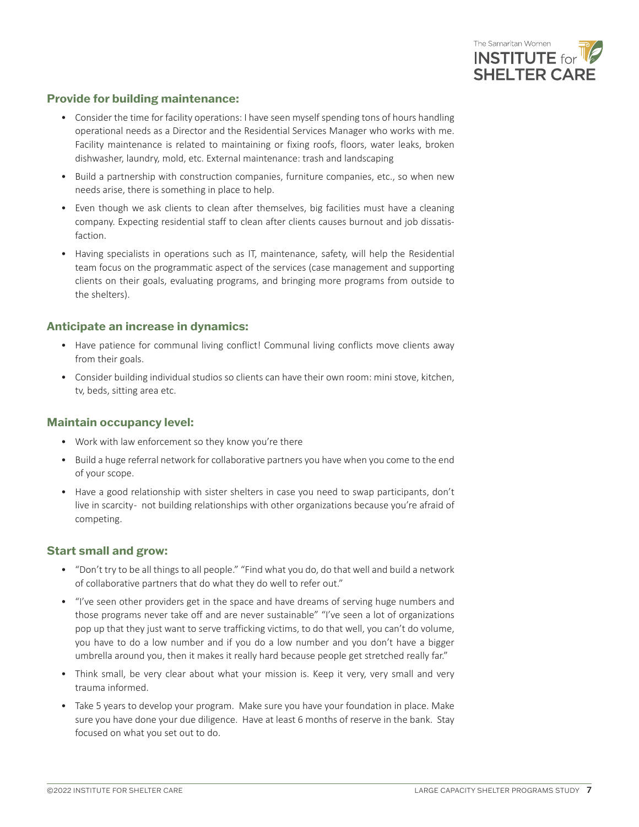

#### **Provide for building maintenance:**

- Consider the time for facility operations: I have seen myself spending tons of hours handling operational needs as a Director and the Residential Services Manager who works with me. Facility maintenance is related to maintaining or fixing roofs, floors, water leaks, broken dishwasher, laundry, mold, etc. External maintenance: trash and landscaping
- Build a partnership with construction companies, furniture companies, etc., so when new needs arise, there is something in place to help.
- Even though we ask clients to clean after themselves, big facilities must have a cleaning company. Expecting residential staff to clean after clients causes burnout and job dissatisfaction.
- Having specialists in operations such as IT, maintenance, safety, will help the Residential team focus on the programmatic aspect of the services (case management and supporting clients on their goals, evaluating programs, and bringing more programs from outside to the shelters).

#### **Anticipate an increase in dynamics:**

- Have patience for communal living conflict! Communal living conflicts move clients away from their goals.
- Consider building individual studios so clients can have their own room: mini stove, kitchen, tv, beds, sitting area etc.

#### **Maintain occupancy level:**

- Work with law enforcement so they know you're there
- Build a huge referral network for collaborative partners you have when you come to the end of your scope.
- Have a good relationship with sister shelters in case you need to swap participants, don't live in scarcity- not building relationships with other organizations because you're afraid of competing.

#### **Start small and grow:**

- "Don't try to be all things to all people." "Find what you do, do that well and build a network of collaborative partners that do what they do well to refer out."
- "I've seen other providers get in the space and have dreams of serving huge numbers and those programs never take off and are never sustainable" "I've seen a lot of organizations pop up that they just want to serve trafficking victims, to do that well, you can't do volume, you have to do a low number and if you do a low number and you don't have a bigger umbrella around you, then it makes it really hard because people get stretched really far."
- Think small, be very clear about what your mission is. Keep it very, very small and very trauma informed.
- Take 5 years to develop your program. Make sure you have your foundation in place. Make sure you have done your due diligence. Have at least 6 months of reserve in the bank. Stay focused on what you set out to do.